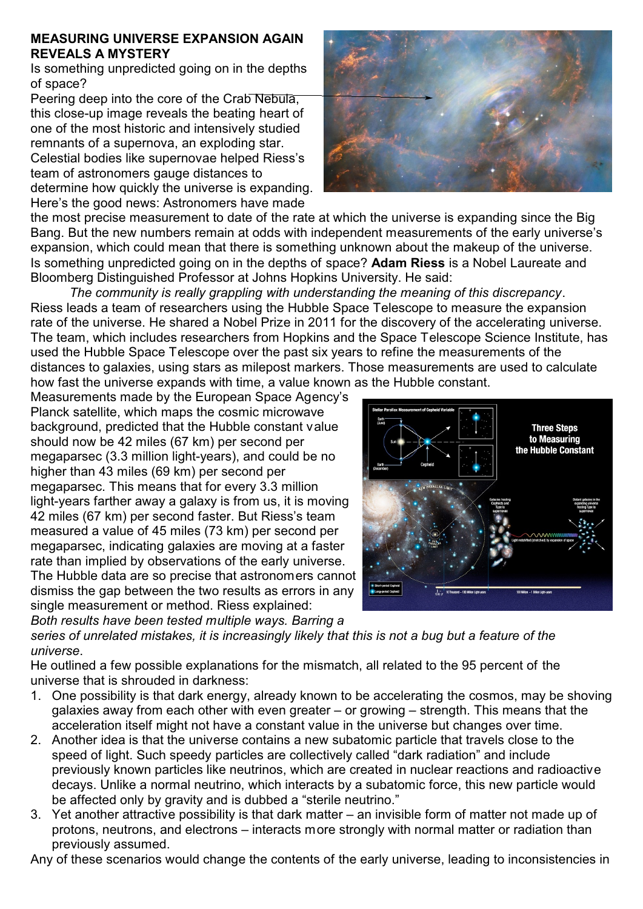## **MEASURING UNIVERSE EXPANSION AGAIN REVEALS A MYSTERY**

Is something unpredicted going on in the depths of space?

Peering deep into the core of the Crab Nebula, this close-up image reveals the beating heart of one of the most historic and intensively studied remnants of a supernova, an exploding star. Celestial bodies like supernovae helped Riess's team of astronomers gauge distances to determine how quickly the universe is expanding. Here's the good news: Astronomers have made



the most precise measurement to date of the rate at which the universe is expanding since the Big Bang. But the new numbers remain at odds with independent measurements of the early universe's expansion, which could mean that there is something unknown about the makeup of the universe. Is something unpredicted going on in the depths of space? **Adam Riess** is a Nobel Laureate and Bloomberg Distinguished Professor at Johns Hopkins University. He said:

*The community is really grappling with understanding the meaning of this discrepancy*. Riess leads a team of researchers using the Hubble Space Telescope to measure the expansion rate of the universe. He shared a Nobel Prize in 2011 for the discovery of the accelerating universe. The team, which includes researchers from Hopkins and the Space Telescope Science Institute, has used the Hubble Space Telescope over the past six years to refine the measurements of the distances to galaxies, using stars as milepost markers. Those measurements are used to calculate how fast the universe expands with time, a value known as the Hubble constant.

Measurements made by the European Space Agency's Planck satellite, which maps the cosmic microwave background, predicted that the Hubble constant value should now be 42 miles (67 km) per second per megaparsec (3.3 million light-years), and could be no higher than 43 miles (69 km) per second per megaparsec. This means that for every 3.3 million light-years farther away a galaxy is from us, it is moving 42 miles (67 km) per second faster. But Riess's team measured a value of 45 miles (73 km) per second per megaparsec, indicating galaxies are moving at a faster rate than implied by observations of the early universe. The Hubble data are so precise that astronomers cannot dismiss the gap between the two results as errors in any single measurement or method. Riess explained: *Both results have been tested multiple ways. Barring a*



*series of unrelated mistakes, it is increasingly likely that this is not a bug but a feature of the universe*.

He outlined a few possible explanations for the mismatch, all related to the 95 percent of the universe that is shrouded in darkness:

- 1. One possibility is that dark energy, already known to be accelerating the cosmos, may be shoving galaxies away from each other with even greater – or growing – strength. This means that the acceleration itself might not have a constant value in the universe but changes over time.
- 2. Another idea is that the universe contains a new subatomic particle that travels close to the speed of light. Such speedy particles are collectively called "dark radiation" and include previously known particles like neutrinos, which are created in nuclear reactions and radioactive decays. Unlike a normal neutrino, which interacts by a subatomic force, this new particle would be affected only by gravity and is dubbed a "sterile neutrino."
- 3. Yet another attractive possibility is that dark matter an invisible form of matter not made up of protons, neutrons, and electrons – interacts more strongly with normal matter or radiation than previously assumed.

Any of these scenarios would change the contents of the early universe, leading to inconsistencies in